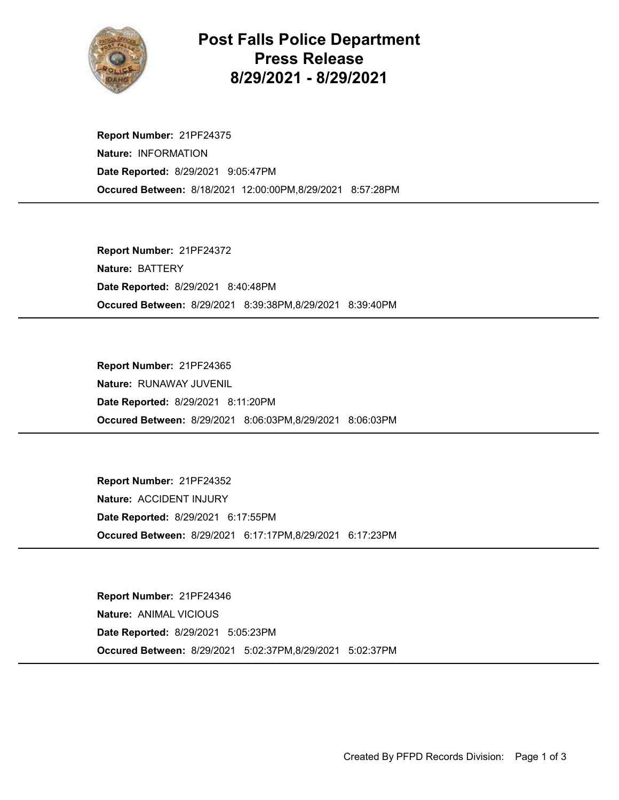

## Post Falls Police Department Press Release 8/29/2021 - 8/29/2021

Occured Between: 8/18/2021 12:00:00PM,8/29/2021 8:57:28PM Report Number: 21PF24375 Nature: INFORMATION Date Reported: 8/29/2021 9:05:47PM

Occured Between: 8/29/2021 8:39:38PM,8/29/2021 8:39:40PM Report Number: 21PF24372 Nature: BATTERY Date Reported: 8/29/2021 8:40:48PM

Occured Between: 8/29/2021 8:06:03PM,8/29/2021 8:06:03PM Report Number: 21PF24365 Nature: RUNAWAY JUVENIL Date Reported: 8/29/2021 8:11:20PM

Occured Between: 8/29/2021 6:17:17PM,8/29/2021 6:17:23PM Report Number: 21PF24352 Nature: ACCIDENT INJURY Date Reported: 8/29/2021 6:17:55PM

Occured Between: 8/29/2021 5:02:37PM,8/29/2021 5:02:37PM Report Number: 21PF24346 Nature: ANIMAL VICIOUS Date Reported: 8/29/2021 5:05:23PM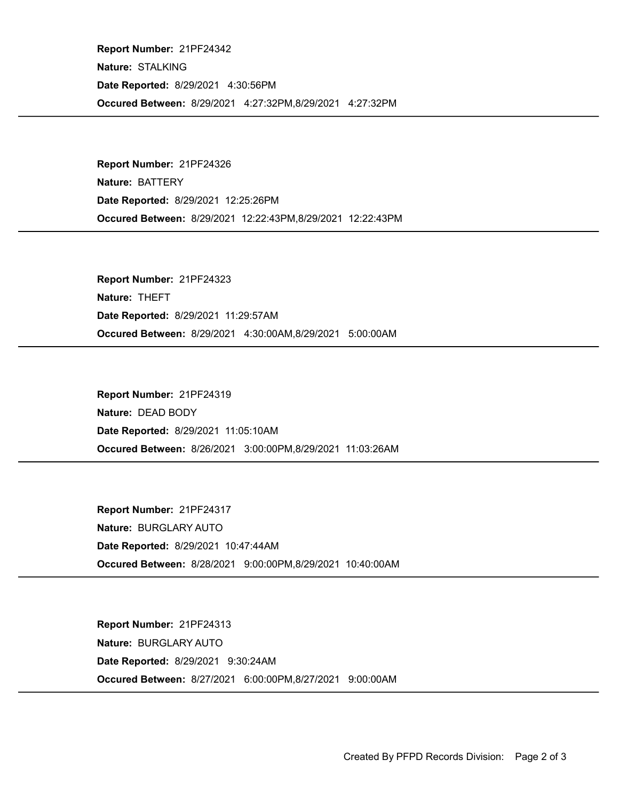Occured Between: 8/29/2021 4:27:32PM,8/29/2021 4:27:32PM Report Number: 21PF24342 Nature: STALKING Date Reported: 8/29/2021 4:30:56PM

Occured Between: 8/29/2021 12:22:43PM,8/29/2021 12:22:43PM Report Number: 21PF24326 Nature: BATTERY Date Reported: 8/29/2021 12:25:26PM

Occured Between: 8/29/2021 4:30:00AM,8/29/2021 5:00:00AM Report Number: 21PF24323 Nature: THEFT Date Reported: 8/29/2021 11:29:57AM

Occured Between: 8/26/2021 3:00:00PM,8/29/2021 11:03:26AM Report Number: 21PF24319 Nature: DEAD BODY Date Reported: 8/29/2021 11:05:10AM

Occured Between: 8/28/2021 9:00:00PM,8/29/2021 10:40:00AM Report Number: 21PF24317 Nature: BURGLARY AUTO Date Reported: 8/29/2021 10:47:44AM

Occured Between: 8/27/2021 6:00:00PM,8/27/2021 9:00:00AM Report Number: 21PF24313 Nature: BURGLARY AUTO Date Reported: 8/29/2021 9:30:24AM